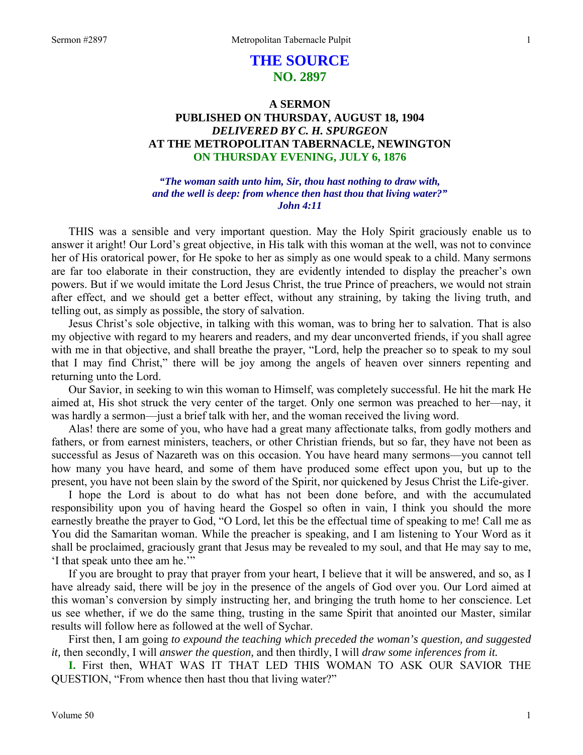# **THE SOURCE NO. 2897**

# **A SERMON PUBLISHED ON THURSDAY, AUGUST 18, 1904**  *DELIVERED BY C. H. SPURGEON*  **AT THE METROPOLITAN TABERNACLE, NEWINGTON ON THURSDAY EVENING, JULY 6, 1876**

*"The woman saith unto him, Sir, thou hast nothing to draw with, and the well is deep: from whence then hast thou that living water?" John 4:11* 

THIS was a sensible and very important question. May the Holy Spirit graciously enable us to answer it aright! Our Lord's great objective, in His talk with this woman at the well, was not to convince her of His oratorical power, for He spoke to her as simply as one would speak to a child. Many sermons are far too elaborate in their construction, they are evidently intended to display the preacher's own powers. But if we would imitate the Lord Jesus Christ, the true Prince of preachers, we would not strain after effect, and we should get a better effect, without any straining, by taking the living truth, and telling out, as simply as possible, the story of salvation.

Jesus Christ's sole objective, in talking with this woman, was to bring her to salvation. That is also my objective with regard to my hearers and readers, and my dear unconverted friends, if you shall agree with me in that objective, and shall breathe the prayer, "Lord, help the preacher so to speak to my soul that I may find Christ," there will be joy among the angels of heaven over sinners repenting and returning unto the Lord.

Our Savior, in seeking to win this woman to Himself, was completely successful. He hit the mark He aimed at, His shot struck the very center of the target. Only one sermon was preached to her—nay, it was hardly a sermon—just a brief talk with her, and the woman received the living word.

Alas! there are some of you, who have had a great many affectionate talks, from godly mothers and fathers, or from earnest ministers, teachers, or other Christian friends, but so far, they have not been as successful as Jesus of Nazareth was on this occasion. You have heard many sermons—you cannot tell how many you have heard, and some of them have produced some effect upon you, but up to the present, you have not been slain by the sword of the Spirit, nor quickened by Jesus Christ the Life-giver.

I hope the Lord is about to do what has not been done before, and with the accumulated responsibility upon you of having heard the Gospel so often in vain, I think you should the more earnestly breathe the prayer to God, "O Lord, let this be the effectual time of speaking to me! Call me as You did the Samaritan woman. While the preacher is speaking, and I am listening to Your Word as it shall be proclaimed, graciously grant that Jesus may be revealed to my soul, and that He may say to me, 'I that speak unto thee am he.'"

If you are brought to pray that prayer from your heart, I believe that it will be answered, and so, as I have already said, there will be joy in the presence of the angels of God over you. Our Lord aimed at this woman's conversion by simply instructing her, and bringing the truth home to her conscience. Let us see whether, if we do the same thing, trusting in the same Spirit that anointed our Master, similar results will follow here as followed at the well of Sychar.

First then, I am going *to expound the teaching which preceded the woman's question, and suggested it,* then secondly, I will *answer the question,* and then thirdly, I will *draw some inferences from it.* 

**I.** First then, WHAT WAS IT THAT LED THIS WOMAN TO ASK OUR SAVIOR THE QUESTION, "From whence then hast thou that living water?"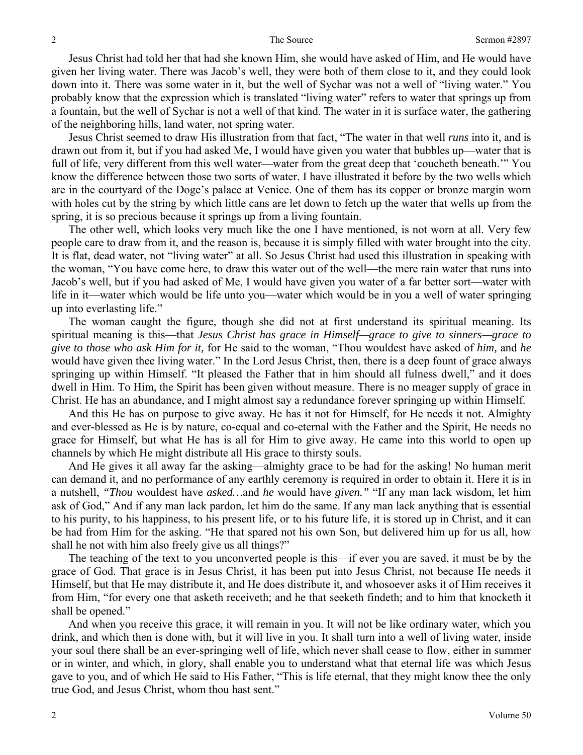Jesus Christ had told her that had she known Him, she would have asked of Him, and He would have given her living water. There was Jacob's well, they were both of them close to it, and they could look down into it. There was some water in it, but the well of Sychar was not a well of "living water." You probably know that the expression which is translated "living water" refers to water that springs up from a fountain, but the well of Sychar is not a well of that kind. The water in it is surface water, the gathering of the neighboring hills, land water, not spring water.

Jesus Christ seemed to draw His illustration from that fact, "The water in that well *runs* into it, and is drawn out from it, but if you had asked Me, I would have given you water that bubbles up—water that is full of life, very different from this well water—water from the great deep that 'coucheth beneath.'" You know the difference between those two sorts of water. I have illustrated it before by the two wells which are in the courtyard of the Doge's palace at Venice. One of them has its copper or bronze margin worn with holes cut by the string by which little cans are let down to fetch up the water that wells up from the spring, it is so precious because it springs up from a living fountain.

The other well, which looks very much like the one I have mentioned, is not worn at all. Very few people care to draw from it, and the reason is, because it is simply filled with water brought into the city. It is flat, dead water, not "living water" at all. So Jesus Christ had used this illustration in speaking with the woman, "You have come here, to draw this water out of the well—the mere rain water that runs into Jacob's well, but if you had asked of Me, I would have given you water of a far better sort—water with life in it—water which would be life unto you—water which would be in you a well of water springing up into everlasting life."

The woman caught the figure, though she did not at first understand its spiritual meaning. Its spiritual meaning is this—that *Jesus Christ has grace in Himself—grace to give to sinners—grace to give to those who ask Him for it,* for He said to the woman, "Thou wouldest have asked of *him,* and *he* would have given thee living water." In the Lord Jesus Christ, then, there is a deep fount of grace always springing up within Himself. "It pleased the Father that in him should all fulness dwell," and it does dwell in Him. To Him, the Spirit has been given without measure. There is no meager supply of grace in Christ. He has an abundance, and I might almost say a redundance forever springing up within Himself.

And this He has on purpose to give away. He has it not for Himself, for He needs it not. Almighty and ever-blessed as He is by nature, co-equal and co-eternal with the Father and the Spirit, He needs no grace for Himself, but what He has is all for Him to give away. He came into this world to open up channels by which He might distribute all His grace to thirsty souls.

And He gives it all away far the asking—almighty grace to be had for the asking! No human merit can demand it, and no performance of any earthly ceremony is required in order to obtain it. Here it is in a nutshell, *"Thou* wouldest have *asked…*and *he* would have *given."* "If any man lack wisdom, let him ask of God," And if any man lack pardon, let him do the same. If any man lack anything that is essential to his purity, to his happiness, to his present life, or to his future life, it is stored up in Christ, and it can be had from Him for the asking. "He that spared not his own Son, but delivered him up for us all, how shall he not with him also freely give us all things?"

The teaching of the text to you unconverted people is this—if ever you are saved, it must be by the grace of God. That grace is in Jesus Christ, it has been put into Jesus Christ, not because He needs it Himself, but that He may distribute it, and He does distribute it, and whosoever asks it of Him receives it from Him, "for every one that asketh receiveth; and he that seeketh findeth; and to him that knocketh it shall be opened."

And when you receive this grace, it will remain in you. It will not be like ordinary water, which you drink, and which then is done with, but it will live in you. It shall turn into a well of living water, inside your soul there shall be an ever-springing well of life, which never shall cease to flow, either in summer or in winter, and which, in glory, shall enable you to understand what that eternal life was which Jesus gave to you, and of which He said to His Father, "This is life eternal, that they might know thee the only true God, and Jesus Christ, whom thou hast sent."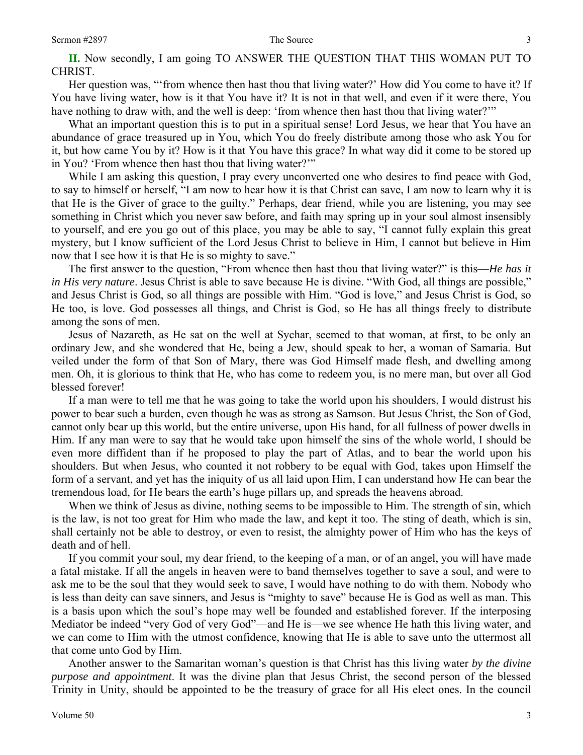**II.** Now secondly, I am going TO ANSWER THE QUESTION THAT THIS WOMAN PUT TO CHRIST.

Her question was, "'from whence then hast thou that living water?' How did You come to have it? If You have living water, how is it that You have it? It is not in that well, and even if it were there, You have nothing to draw with, and the well is deep: 'from whence then hast thou that living water?'"

What an important question this is to put in a spiritual sense! Lord Jesus, we hear that You have an abundance of grace treasured up in You, which You do freely distribute among those who ask You for it, but how came You by it? How is it that You have this grace? In what way did it come to be stored up in You? 'From whence then hast thou that living water?'"

While I am asking this question, I pray every unconverted one who desires to find peace with God, to say to himself or herself, "I am now to hear how it is that Christ can save, I am now to learn why it is that He is the Giver of grace to the guilty." Perhaps, dear friend, while you are listening, you may see something in Christ which you never saw before, and faith may spring up in your soul almost insensibly to yourself, and ere you go out of this place, you may be able to say, "I cannot fully explain this great mystery, but I know sufficient of the Lord Jesus Christ to believe in Him, I cannot but believe in Him now that I see how it is that He is so mighty to save."

The first answer to the question, "From whence then hast thou that living water?" is this—*He has it in His very nature*. Jesus Christ is able to save because He is divine. "With God, all things are possible," and Jesus Christ is God, so all things are possible with Him. "God is love," and Jesus Christ is God, so He too, is love. God possesses all things, and Christ is God, so He has all things freely to distribute among the sons of men.

Jesus of Nazareth, as He sat on the well at Sychar, seemed to that woman, at first, to be only an ordinary Jew, and she wondered that He, being a Jew, should speak to her, a woman of Samaria. But veiled under the form of that Son of Mary, there was God Himself made flesh, and dwelling among men. Oh, it is glorious to think that He, who has come to redeem you, is no mere man, but over all God blessed forever!

If a man were to tell me that he was going to take the world upon his shoulders, I would distrust his power to bear such a burden, even though he was as strong as Samson. But Jesus Christ, the Son of God, cannot only bear up this world, but the entire universe, upon His hand, for all fullness of power dwells in Him. If any man were to say that he would take upon himself the sins of the whole world, I should be even more diffident than if he proposed to play the part of Atlas, and to bear the world upon his shoulders. But when Jesus, who counted it not robbery to be equal with God, takes upon Himself the form of a servant, and yet has the iniquity of us all laid upon Him, I can understand how He can bear the tremendous load, for He bears the earth's huge pillars up, and spreads the heavens abroad.

When we think of Jesus as divine, nothing seems to be impossible to Him. The strength of sin, which is the law, is not too great for Him who made the law, and kept it too. The sting of death, which is sin, shall certainly not be able to destroy, or even to resist, the almighty power of Him who has the keys of death and of hell.

If you commit your soul, my dear friend, to the keeping of a man, or of an angel, you will have made a fatal mistake. If all the angels in heaven were to band themselves together to save a soul, and were to ask me to be the soul that they would seek to save, I would have nothing to do with them. Nobody who is less than deity can save sinners, and Jesus is "mighty to save" because He is God as well as man. This is a basis upon which the soul's hope may well be founded and established forever. If the interposing Mediator be indeed "very God of very God"—and He is—we see whence He hath this living water, and we can come to Him with the utmost confidence, knowing that He is able to save unto the uttermost all that come unto God by Him.

Another answer to the Samaritan woman's question is that Christ has this living water *by the divine purpose and appointment*. It was the divine plan that Jesus Christ, the second person of the blessed Trinity in Unity, should be appointed to be the treasury of grace for all His elect ones. In the council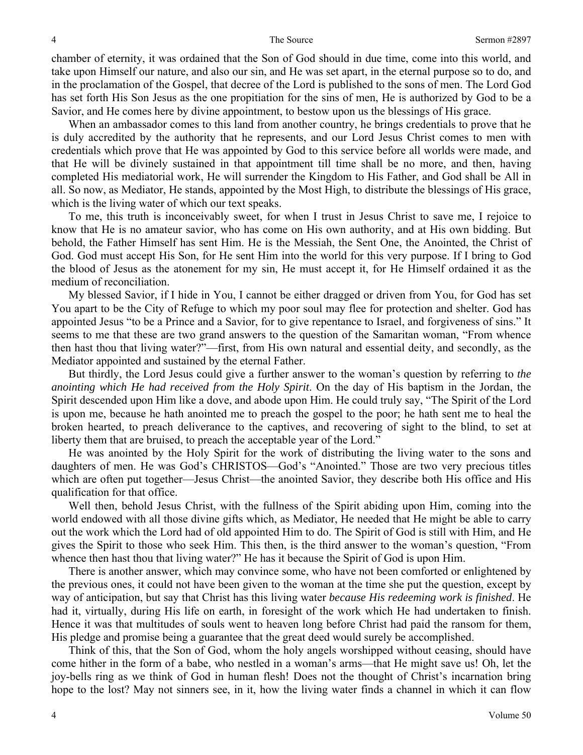chamber of eternity, it was ordained that the Son of God should in due time, come into this world, and take upon Himself our nature, and also our sin, and He was set apart, in the eternal purpose so to do, and in the proclamation of the Gospel, that decree of the Lord is published to the sons of men. The Lord God has set forth His Son Jesus as the one propitiation for the sins of men, He is authorized by God to be a Savior, and He comes here by divine appointment, to bestow upon us the blessings of His grace.

When an ambassador comes to this land from another country, he brings credentials to prove that he is duly accredited by the authority that he represents, and our Lord Jesus Christ comes to men with credentials which prove that He was appointed by God to this service before all worlds were made, and that He will be divinely sustained in that appointment till time shall be no more, and then, having completed His mediatorial work, He will surrender the Kingdom to His Father, and God shall be All in all. So now, as Mediator, He stands, appointed by the Most High, to distribute the blessings of His grace, which is the living water of which our text speaks.

To me, this truth is inconceivably sweet, for when I trust in Jesus Christ to save me, I rejoice to know that He is no amateur savior, who has come on His own authority, and at His own bidding. But behold, the Father Himself has sent Him. He is the Messiah, the Sent One, the Anointed, the Christ of God. God must accept His Son, for He sent Him into the world for this very purpose. If I bring to God the blood of Jesus as the atonement for my sin, He must accept it, for He Himself ordained it as the medium of reconciliation.

My blessed Savior, if I hide in You, I cannot be either dragged or driven from You, for God has set You apart to be the City of Refuge to which my poor soul may flee for protection and shelter. God has appointed Jesus "to be a Prince and a Savior, for to give repentance to Israel, and forgiveness of sins." It seems to me that these are two grand answers to the question of the Samaritan woman, "From whence then hast thou that living water?"—first, from His own natural and essential deity, and secondly, as the Mediator appointed and sustained by the eternal Father.

But thirdly, the Lord Jesus could give a further answer to the woman's question by referring to *the anointing which He had received from the Holy Spirit*. On the day of His baptism in the Jordan, the Spirit descended upon Him like a dove, and abode upon Him. He could truly say, "The Spirit of the Lord is upon me, because he hath anointed me to preach the gospel to the poor; he hath sent me to heal the broken hearted, to preach deliverance to the captives, and recovering of sight to the blind, to set at liberty them that are bruised, to preach the acceptable year of the Lord."

He was anointed by the Holy Spirit for the work of distributing the living water to the sons and daughters of men. He was God's CHRISTOS—God's "Anointed." Those are two very precious titles which are often put together—Jesus Christ—the anointed Savior, they describe both His office and His qualification for that office.

Well then, behold Jesus Christ, with the fullness of the Spirit abiding upon Him, coming into the world endowed with all those divine gifts which, as Mediator, He needed that He might be able to carry out the work which the Lord had of old appointed Him to do. The Spirit of God is still with Him, and He gives the Spirit to those who seek Him. This then, is the third answer to the woman's question, "From whence then hast thou that living water?" He has it because the Spirit of God is upon Him.

There is another answer, which may convince some, who have not been comforted or enlightened by the previous ones, it could not have been given to the woman at the time she put the question, except by way of anticipation, but say that Christ has this living water *because His redeeming work is finished*. He had it, virtually, during His life on earth, in foresight of the work which He had undertaken to finish. Hence it was that multitudes of souls went to heaven long before Christ had paid the ransom for them, His pledge and promise being a guarantee that the great deed would surely be accomplished.

Think of this, that the Son of God, whom the holy angels worshipped without ceasing, should have come hither in the form of a babe, who nestled in a woman's arms—that He might save us! Oh, let the joy-bells ring as we think of God in human flesh! Does not the thought of Christ's incarnation bring hope to the lost? May not sinners see, in it, how the living water finds a channel in which it can flow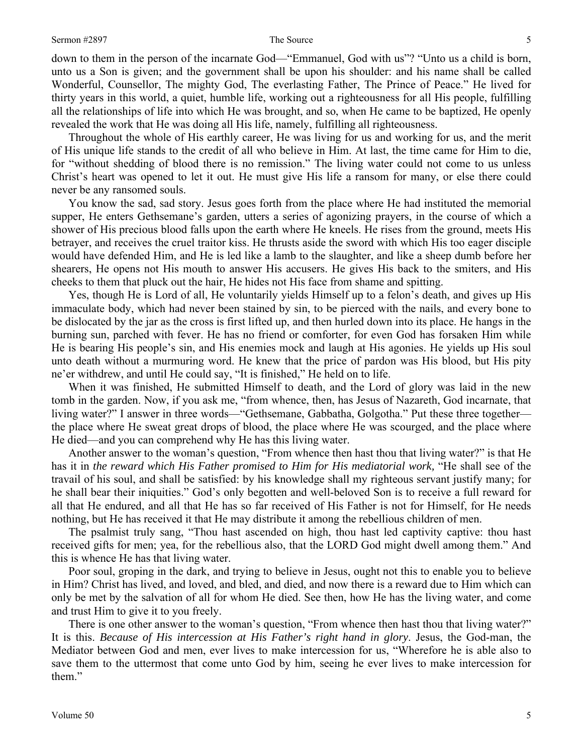down to them in the person of the incarnate God—"Emmanuel, God with us"? "Unto us a child is born, unto us a Son is given; and the government shall be upon his shoulder: and his name shall be called Wonderful, Counsellor, The mighty God, The everlasting Father, The Prince of Peace." He lived for thirty years in this world, a quiet, humble life, working out a righteousness for all His people, fulfilling all the relationships of life into which He was brought, and so, when He came to be baptized, He openly revealed the work that He was doing all His life, namely, fulfilling all righteousness.

Throughout the whole of His earthly career, He was living for us and working for us, and the merit of His unique life stands to the credit of all who believe in Him. At last, the time came for Him to die, for "without shedding of blood there is no remission." The living water could not come to us unless Christ's heart was opened to let it out. He must give His life a ransom for many, or else there could never be any ransomed souls.

You know the sad, sad story. Jesus goes forth from the place where He had instituted the memorial supper, He enters Gethsemane's garden, utters a series of agonizing prayers, in the course of which a shower of His precious blood falls upon the earth where He kneels. He rises from the ground, meets His betrayer, and receives the cruel traitor kiss. He thrusts aside the sword with which His too eager disciple would have defended Him, and He is led like a lamb to the slaughter, and like a sheep dumb before her shearers, He opens not His mouth to answer His accusers. He gives His back to the smiters, and His cheeks to them that pluck out the hair, He hides not His face from shame and spitting.

Yes, though He is Lord of all, He voluntarily yields Himself up to a felon's death, and gives up His immaculate body, which had never been stained by sin, to be pierced with the nails, and every bone to be dislocated by the jar as the cross is first lifted up, and then hurled down into its place. He hangs in the burning sun, parched with fever. He has no friend or comforter, for even God has forsaken Him while He is bearing His people's sin, and His enemies mock and laugh at His agonies. He yields up His soul unto death without a murmuring word. He knew that the price of pardon was His blood, but His pity ne'er withdrew, and until He could say, "It is finished," He held on to life.

When it was finished, He submitted Himself to death, and the Lord of glory was laid in the new tomb in the garden. Now, if you ask me, "from whence, then, has Jesus of Nazareth, God incarnate, that living water?" I answer in three words—"Gethsemane, Gabbatha, Golgotha." Put these three together the place where He sweat great drops of blood, the place where He was scourged, and the place where He died—and you can comprehend why He has this living water.

Another answer to the woman's question, "From whence then hast thou that living water?" is that He has it in *the reward which His Father promised to Him for His mediatorial work,* "He shall see of the travail of his soul, and shall be satisfied: by his knowledge shall my righteous servant justify many; for he shall bear their iniquities." God's only begotten and well-beloved Son is to receive a full reward for all that He endured, and all that He has so far received of His Father is not for Himself, for He needs nothing, but He has received it that He may distribute it among the rebellious children of men.

The psalmist truly sang, "Thou hast ascended on high, thou hast led captivity captive: thou hast received gifts for men; yea, for the rebellious also, that the LORD God might dwell among them." And this is whence He has that living water.

Poor soul, groping in the dark, and trying to believe in Jesus, ought not this to enable you to believe in Him? Christ has lived, and loved, and bled, and died, and now there is a reward due to Him which can only be met by the salvation of all for whom He died. See then, how He has the living water, and come and trust Him to give it to you freely.

There is one other answer to the woman's question, "From whence then hast thou that living water?" It is this. *Because of His intercession at His Father's right hand in glory*. Jesus, the God-man, the Mediator between God and men, ever lives to make intercession for us, "Wherefore he is able also to save them to the uttermost that come unto God by him, seeing he ever lives to make intercession for them."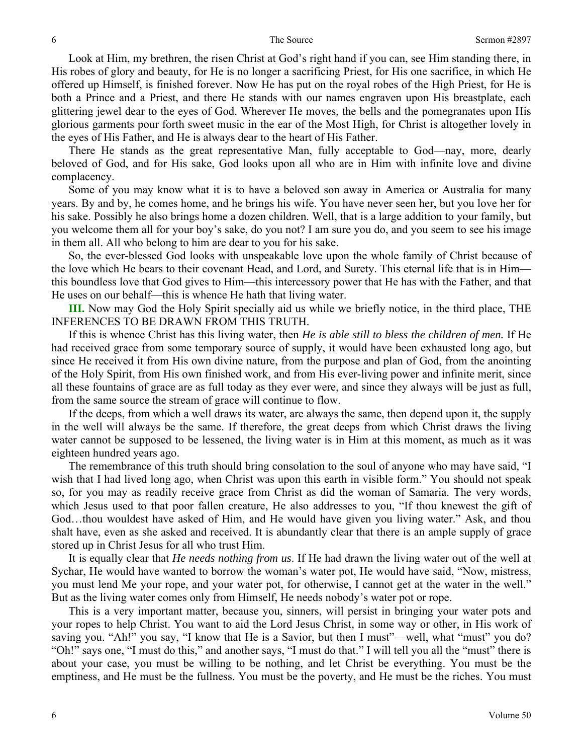Look at Him, my brethren, the risen Christ at God's right hand if you can, see Him standing there, in His robes of glory and beauty, for He is no longer a sacrificing Priest, for His one sacrifice, in which He offered up Himself, is finished forever. Now He has put on the royal robes of the High Priest, for He is both a Prince and a Priest, and there He stands with our names engraven upon His breastplate, each glittering jewel dear to the eyes of God. Wherever He moves, the bells and the pomegranates upon His glorious garments pour forth sweet music in the ear of the Most High, for Christ is altogether lovely in the eyes of His Father, and He is always dear to the heart of His Father.

There He stands as the great representative Man, fully acceptable to God—nay, more, dearly beloved of God, and for His sake, God looks upon all who are in Him with infinite love and divine complacency.

Some of you may know what it is to have a beloved son away in America or Australia for many years. By and by, he comes home, and he brings his wife. You have never seen her, but you love her for his sake. Possibly he also brings home a dozen children. Well, that is a large addition to your family, but you welcome them all for your boy's sake, do you not? I am sure you do, and you seem to see his image in them all. All who belong to him are dear to you for his sake.

So, the ever-blessed God looks with unspeakable love upon the whole family of Christ because of the love which He bears to their covenant Head, and Lord, and Surety. This eternal life that is in Him this boundless love that God gives to Him—this intercessory power that He has with the Father, and that He uses on our behalf—this is whence He hath that living water.

**III.** Now may God the Holy Spirit specially aid us while we briefly notice, in the third place, THE INFERENCES TO BE DRAWN FROM THIS TRUTH.

If this is whence Christ has this living water, then *He is able still to bless the children of men.* If He had received grace from some temporary source of supply, it would have been exhausted long ago, but since He received it from His own divine nature, from the purpose and plan of God, from the anointing of the Holy Spirit, from His own finished work, and from His ever-living power and infinite merit, since all these fountains of grace are as full today as they ever were, and since they always will be just as full, from the same source the stream of grace will continue to flow.

If the deeps, from which a well draws its water, are always the same, then depend upon it, the supply in the well will always be the same. If therefore, the great deeps from which Christ draws the living water cannot be supposed to be lessened, the living water is in Him at this moment, as much as it was eighteen hundred years ago.

The remembrance of this truth should bring consolation to the soul of anyone who may have said, "I wish that I had lived long ago, when Christ was upon this earth in visible form." You should not speak so, for you may as readily receive grace from Christ as did the woman of Samaria. The very words, which Jesus used to that poor fallen creature, He also addresses to you, "If thou knewest the gift of God…thou wouldest have asked of Him, and He would have given you living water." Ask, and thou shalt have, even as she asked and received. It is abundantly clear that there is an ample supply of grace stored up in Christ Jesus for all who trust Him.

It is equally clear that *He needs nothing from us*. If He had drawn the living water out of the well at Sychar, He would have wanted to borrow the woman's water pot, He would have said, "Now, mistress, you must lend Me your rope, and your water pot, for otherwise, I cannot get at the water in the well." But as the living water comes only from Himself, He needs nobody's water pot or rope.

This is a very important matter, because you, sinners, will persist in bringing your water pots and your ropes to help Christ. You want to aid the Lord Jesus Christ, in some way or other, in His work of saving you. "Ah!" you say, "I know that He is a Savior, but then I must"—well, what "must" you do? "Oh!" says one, "I must do this," and another says, "I must do that." I will tell you all the "must" there is about your case, you must be willing to be nothing, and let Christ be everything. You must be the emptiness, and He must be the fullness. You must be the poverty, and He must be the riches. You must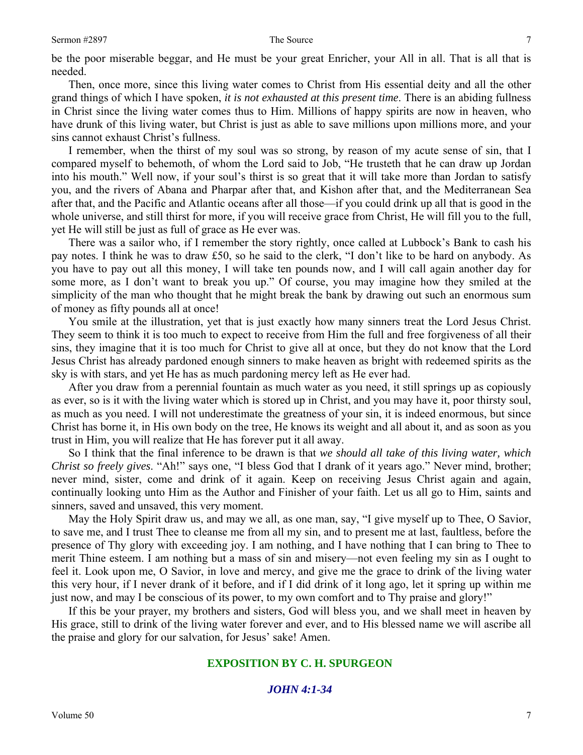be the poor miserable beggar, and He must be your great Enricher, your All in all. That is all that is needed.

Then, once more, since this living water comes to Christ from His essential deity and all the other grand things of which I have spoken, *it is not exhausted at this present time*. There is an abiding fullness in Christ since the living water comes thus to Him. Millions of happy spirits are now in heaven, who have drunk of this living water, but Christ is just as able to save millions upon millions more, and your sins cannot exhaust Christ's fullness.

I remember, when the thirst of my soul was so strong, by reason of my acute sense of sin, that I compared myself to behemoth, of whom the Lord said to Job, "He trusteth that he can draw up Jordan into his mouth." Well now, if your soul's thirst is so great that it will take more than Jordan to satisfy you, and the rivers of Abana and Pharpar after that, and Kishon after that, and the Mediterranean Sea after that, and the Pacific and Atlantic oceans after all those—if you could drink up all that is good in the whole universe, and still thirst for more, if you will receive grace from Christ, He will fill you to the full, yet He will still be just as full of grace as He ever was.

There was a sailor who, if I remember the story rightly, once called at Lubbock's Bank to cash his pay notes. I think he was to draw £50, so he said to the clerk, "I don't like to be hard on anybody. As you have to pay out all this money, I will take ten pounds now, and I will call again another day for some more, as I don't want to break you up." Of course, you may imagine how they smiled at the simplicity of the man who thought that he might break the bank by drawing out such an enormous sum of money as fifty pounds all at once!

You smile at the illustration, yet that is just exactly how many sinners treat the Lord Jesus Christ. They seem to think it is too much to expect to receive from Him the full and free forgiveness of all their sins, they imagine that it is too much for Christ to give all at once, but they do not know that the Lord Jesus Christ has already pardoned enough sinners to make heaven as bright with redeemed spirits as the sky is with stars, and yet He has as much pardoning mercy left as He ever had.

After you draw from a perennial fountain as much water as you need, it still springs up as copiously as ever, so is it with the living water which is stored up in Christ, and you may have it, poor thirsty soul, as much as you need. I will not underestimate the greatness of your sin, it is indeed enormous, but since Christ has borne it, in His own body on the tree, He knows its weight and all about it, and as soon as you trust in Him, you will realize that He has forever put it all away.

So I think that the final inference to be drawn is that *we should all take of this living water, which Christ so freely gives*. "Ah!" says one, "I bless God that I drank of it years ago." Never mind, brother; never mind, sister, come and drink of it again. Keep on receiving Jesus Christ again and again, continually looking unto Him as the Author and Finisher of your faith. Let us all go to Him, saints and sinners, saved and unsaved, this very moment.

May the Holy Spirit draw us, and may we all, as one man, say, "I give myself up to Thee, O Savior, to save me, and I trust Thee to cleanse me from all my sin, and to present me at last, faultless, before the presence of Thy glory with exceeding joy. I am nothing, and I have nothing that I can bring to Thee to merit Thine esteem. I am nothing but a mass of sin and misery—not even feeling my sin as I ought to feel it. Look upon me, O Savior, in love and mercy, and give me the grace to drink of the living water this very hour, if I never drank of it before, and if I did drink of it long ago, let it spring up within me just now, and may I be conscious of its power, to my own comfort and to Thy praise and glory!"

If this be your prayer, my brothers and sisters, God will bless you, and we shall meet in heaven by His grace, still to drink of the living water forever and ever, and to His blessed name we will ascribe all the praise and glory for our salvation, for Jesus' sake! Amen.

## **EXPOSITION BY C. H. SPURGEON**

## *JOHN 4:1-34*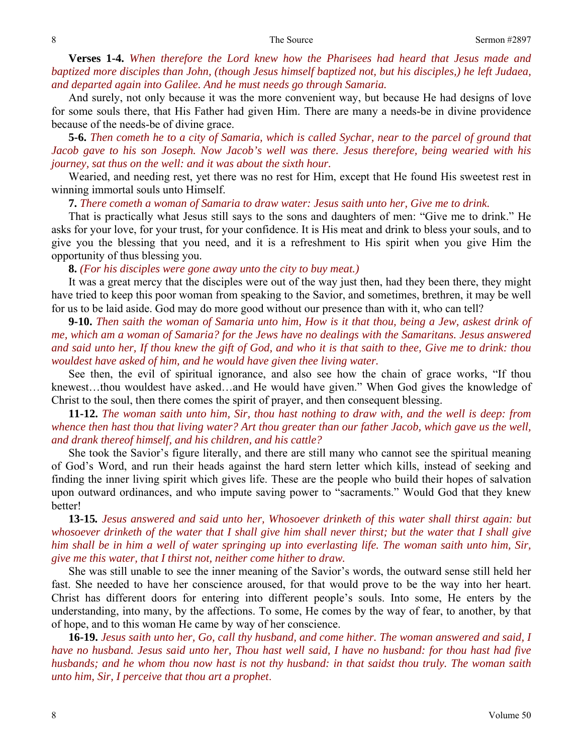**Verses 1-4.** *When therefore the Lord knew how the Pharisees had heard that Jesus made and baptized more disciples than John, (though Jesus himself baptized not, but his disciples,) he left Judaea, and departed again into Galilee. And he must needs go through Samaria.* 

And surely, not only because it was the more convenient way, but because He had designs of love for some souls there, that His Father had given Him. There are many a needs-be in divine providence because of the needs-be of divine grace.

**5-6.** *Then cometh he to a city of Samaria, which is called Sychar, near to the parcel of ground that Jacob gave to his son Joseph. Now Jacob's well was there. Jesus therefore, being wearied with his journey, sat thus on the well: and it was about the sixth hour.* 

Wearied, and needing rest, yet there was no rest for Him, except that He found His sweetest rest in winning immortal souls unto Himself.

**7.** *There cometh a woman of Samaria to draw water: Jesus saith unto her, Give me to drink.* 

That is practically what Jesus still says to the sons and daughters of men: "Give me to drink." He asks for your love, for your trust, for your confidence. It is His meat and drink to bless your souls, and to give you the blessing that you need, and it is a refreshment to His spirit when you give Him the opportunity of thus blessing you.

**8.** *(For his disciples were gone away unto the city to buy meat.)*

It was a great mercy that the disciples were out of the way just then, had they been there, they might have tried to keep this poor woman from speaking to the Savior, and sometimes, brethren, it may be well for us to be laid aside. God may do more good without our presence than with it, who can tell?

**9-10.** *Then saith the woman of Samaria unto him, How is it that thou, being a Jew, askest drink of me, which am a woman of Samaria? for the Jews have no dealings with the Samaritans. Jesus answered and said unto her, If thou knew the gift of God, and who it is that saith to thee, Give me to drink: thou wouldest have asked of him, and he would have given thee living water.* 

See then, the evil of spiritual ignorance, and also see how the chain of grace works, "If thou knewest…thou wouldest have asked…and He would have given." When God gives the knowledge of Christ to the soul, then there comes the spirit of prayer, and then consequent blessing.

**11-12.** *The woman saith unto him, Sir, thou hast nothing to draw with, and the well is deep: from whence then hast thou that living water? Art thou greater than our father Jacob, which gave us the well, and drank thereof himself, and his children, and his cattle?* 

She took the Savior's figure literally, and there are still many who cannot see the spiritual meaning of God's Word, and run their heads against the hard stern letter which kills, instead of seeking and finding the inner living spirit which gives life. These are the people who build their hopes of salvation upon outward ordinances, and who impute saving power to "sacraments." Would God that they knew better!

**13-15***. Jesus answered and said unto her, Whosoever drinketh of this water shall thirst again: but whosoever drinketh of the water that I shall give him shall never thirst; but the water that I shall give him shall be in him a well of water springing up into everlasting life. The woman saith unto him, Sir, give me this water, that I thirst not, neither come hither to draw.* 

She was still unable to see the inner meaning of the Savior's words, the outward sense still held her fast. She needed to have her conscience aroused, for that would prove to be the way into her heart. Christ has different doors for entering into different people's souls. Into some, He enters by the understanding, into many, by the affections. To some, He comes by the way of fear, to another, by that of hope, and to this woman He came by way of her conscience.

**16-19.** *Jesus saith unto her, Go, call thy husband, and come hither. The woman answered and said, I have no husband. Jesus said unto her, Thou hast well said, I have no husband: for thou hast had five husbands; and he whom thou now hast is not thy husband: in that saidst thou truly. The woman saith unto him, Sir, I perceive that thou art a prophet*.